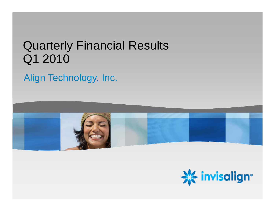# Quarterly Financial Results Q1 2010

#### Align Technology, Inc.



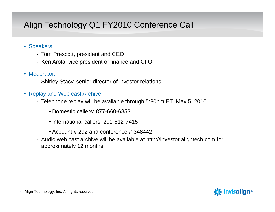#### Align Technology Q1 FY2010 Conference Call

- Speakers:
	- Tom Prescott, president and CEO
	- Ken Arola, vice president of finance and CFO
- Moderator:
	- Shirley Stacy, senior director of investor relations
- $\bullet\,$  Replay and Web cast Archive
	- Telephone replay will be available through 5:30pm ET May 5, 2010
		- Domestic callers: 877-660-6853
		- International callers: 201-612-7415
		- Account # 292 and conference # 348442
	- Audio web cast archive will be available at http://investor.aligntech.com for approximately 12 months

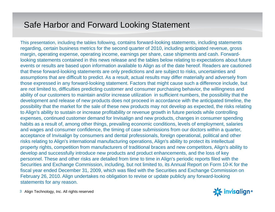#### Safe Harbor and Forward Looking Statement

This presentation, including the tables following, contains forward-looking statements, including statements regarding, certain business metrics for the second quarter of 2010, including anticipated revenue, gross margin, operating expense, operating income, earnings per share, case shipments and cash. Forwardlooking statements contained in this news release and the tables below relating to expectations about future events or results are based upon information available to Align as of the date hereof. Readers are cautioned that these forward-looking statements are only predictions and are subject to risks, uncertainties and assumptions that are difficult to predict. As a result, actual results may differ materially and adversely from those expressed in any forward-looking statement. Factors that might cause such a difference include, but are not limited to, difficulties predicting customer and consumer purchasing behavior, the willingness and ability of our customers to maintain and/or increase utilization in sufficient numbers, the possibility that the development and release of new products does not proceed in accordance with the anticipated timeline, the possibility that the market for the sale of these new products may not develop as expected, the risks relating to Align's ability to sustain or increase profitability or revenue growth in future periods while controlling expenses, continued customer demand for Invisalign and new products, changes in consumer spending habits as a result of, among other things, prevailing economic conditions, levels of employment, salaries and wages and consumer confidence, the timing of case submissions from our doctors within a quarter, acceptance of Invisalign by consumers and dental professionals, foreign operational, political and other risks relating to Align's international manufacturing operations, Align's ability to protect its intellectual property rights, competition from manufacturers of traditional braces and new competitors, Align's ability to develop and successfully introduce new products and product enhancements, and the loss of key personnel. These and other risks are detailed from time to time in Align's periodic reports filed with the Securities and Exchange Commission, including, but not limited to, its Annual Report on Form 10-K for the fiscal year ended December 31, 2009, which was filed with the Securities and Exchange Commission on February 26, 2010. Align undertakes no obligation to revise or update publicly any forward-looking statements for any reason.

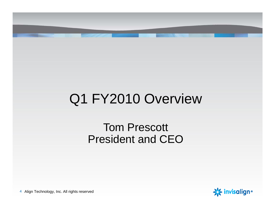# Q1 FY2010 Overview

# Tom Prescott President and CEO

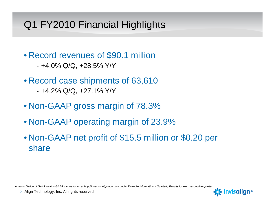# Q1 FY2010 Financial Highlights

- Record revenues of \$90.1 million
	- +4 0% Q/Q +28 5% Y/Y +4.0% Q/Q, +28.5%
- Record case shipments of 63,610
	- +4.2% Q/Q, +27.1% Y/Y
- Non-GAAP gross margin of 78.3%
- Non-GAAP operating margin of 23.9%
- Non-GAAP net profit of \$15.5 million or \$0.20 per share

*A reconciliation of GAAP to Non-GAAP can be found at http://investor.aligntech.com under Financial Information > Quarterly Results for each respective quarter.*

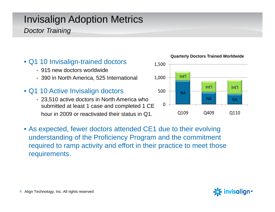# Invisalign Adoption Metrics

#### *Doctor Training*

#### • Q1 10 Invisalign-trained doctors 1,500

- 915 new doctors worldwide
- 390 in North America, 525 International
- Q1 10 Active Invisalign doctors  $\overline{\phantom{0}}$  500  $\overline{\phantom{0}}$   $_{\sf NA}$ 
	- 23,510 active doctors in North America who submitted at least 1 case and completed 1 CE hour in 2009 or reactivated their status in Q1.
- As expected, fewer doctors attended CE1 due to their evolving understanding of the Proficiency Program and the commitment required to ramp activity and effort in their practice to meet those requirements.

**Quarterly Doctors Trained Worldwide** 



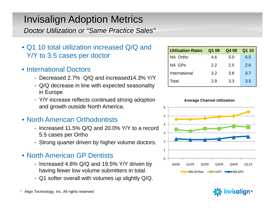# Invisalign Adoption Metrics

*Doctor Utilization or "Same Practice Sales"*

- Q1 10 total utilization increased Q/Q and Y/Y to 3.5 cases per doctor
- International Doctors
	- Decreased 2.7% Q/Q and increased14.3% Y/Y
	- Q/Q decrease in line with expected seasonality in Europe
	- Y/Y increase reflects continued strong adoption and growth outside North America.
- North American Orthodontists,我们也不会有什么?""我们,我们也不会有什么?""我们,我们也不会有什么?""我们,我们也不会有什么?""我们,我们也不会有什么?""我们,我们也不会有什么?
	- Increased 11.5% Q/Q and 20.0% Y/Y to a record 5.5 cases per Ortho
	- Strong quarter driven by higher volume doctors.  $2$

#### • North American GP Dentists

- Increased 4.8% Q/Q and 19.5% Y/Y driven by havin g fewer low volume submitters in total. g NAOrthos Int'l NAGPs
- Q1 softer overall with volumes up slightly Q/Q.

| <b>Utilization Rates</b> | Q1 09 | Q4 09 | Q1 10 |
|--------------------------|-------|-------|-------|
| NA Ortho                 | 4.6   | 5.0   | 5.5   |
| NA GPs                   | 2.2   | 2.5   | 2.6   |
| International            | 3.2   | 3.8   | 3.7   |
| Total                    | 2.9   | 3.3   | 3.5   |





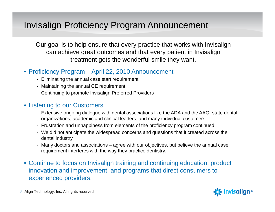#### Invisalign Proficiency Program Announcement

Our goal is to help ensure that every practice that works with Invisalign can achieve great outcomes and that every patient in Invisalign treatment gets the wonderful smile they want.

#### • Proficiency Program – April 22, 2010 Announcement

- Eliminating the annual case start requirement
- Maintaining the annual CE requirement
- Continuing to promote Invisalign Preferred Providers

#### • Listening to our Customers

- Extensive ongoing dialogue with dental associations like the ADA and the AAO, state dental organizations, academic and clinical leaders, and many individual customers.
- Frustration and unhappiness from elements of the proficiency program continued
- We did not anticipate the widespread concerns and questions that it created across the dental industry.
- Many doctors and associations agree with our objectives, but believe the annual case requirement interferes with the way they practice dentistry.
- Continue to focus on Invisalign training and continuing education, product innovation and improvement, and programs that direct consumers to experienced providers.

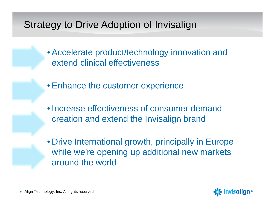#### Strategy to Drive Adoption of Invisalign

- Accelerate product/technology innovation and extend clinical effectiveness
- Enhance the customer experience
- Increase effectiveness of consumer demand creation and extend the Invisalign brand
- Drive International growth, principally in Europe while we're opening up additional new markets around the world

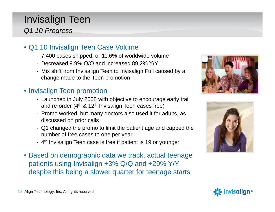# Invisalign Teen

#### *Q1 10 Progress*

- Q1 10 Invisalign Teen Case Volume
	- 7,400 cases shipped, or 11.6% of worldwide volume
	- Decreased 9.9% Q/Q and increased 89.2% Y/Y
	- Mix shift from Invisalign Teen to Invisalign Full caused by a change made to the Teen promotion

#### • Invisalign Teen promotion

- Launched in July 2008 with objective to encourage early trail and re-order ( $4<sup>th</sup>$  & 12<sup>th</sup> Invisalign Teen cases free)
- Promo worked, but many doctors also used it for adults, as discussed on prior calls
- Q1 changed the promo to limit the patient age and capped the number of free cases to one per year
- 4<sup>th</sup> Invisalign Teen case is free if patient is 19 or younger
- Based on demographic data we track, actual teenage patients using Invisalign +3% Q/Q and +29% Y/Y despite this being <sup>a</sup> slower quarter for teenage starts





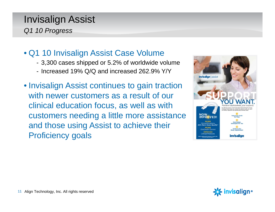#### Invisalign Assist *Q1 10 Progress*

- Q1 10 Invisalign Assist Case Volume
	- 3,300 cases shipped or 5.2% of worldwide volume
	- Increased 19% Q/Q and increased 262.9% Y/Y
- Invisalign Assist continues to gain traction with newer customers as a result of our clinical education focus, as well as with customers needing a little more assistance and those using Assist to achieve their Proficiency goals



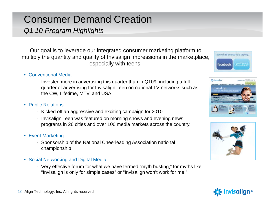## Consumer Demand Creation

*Q1 10 Program Highlights*

Our goal is to leverage our integrated consumer marketing platform to multiply the quantity and quality of Invisalign impressions in the marketplace, especially with teens.

- Conventional Media
	- Invested more in advertising this quarter than in Q109, including a full quarter of advertising for Invisalign Teen on national TV networks such as the CW, Lifetime, MTV, and USA.
- Public Relations
	- Kicked off an aggressive and exciting campaign for 2010
	- Invisalign Teen was featured on morning shows and evening news programs in 26 cities and over 100 media markets across the country.
- Event Marketing
	- Sponsorship of the National Cheerleading Association national championship
- Social Networking and Digital Media
	- Very effective forum for what we have termed "myth busting," for myths like "Invisalign is only for simple cases" or "Invisalign won't work for me."







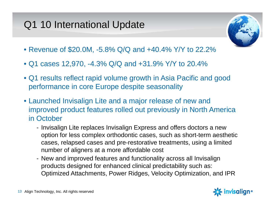# Q1 10 International Update



- Revenue of \$20.0M, -5.8% Q/Q and +40.4% Y/Y to 22.2%
- Q1 cases 12,970, -4.3% Q/Q and +31.9% Y/Y to 20.4%
- Q1 results reflect rapid volume growth in Asia Pacific and good performance in core Europe despite seasonality
- Launched Invisalign Lite and a major release of new and improved product features rolled out previously in North America in October
	- Invisalign Lite replaces Invisalign Express and offers doctors a new option for less complex orthodontic cases, such as short-term aesthetic cases, relapsed cases and pre-restorative treatments, usin g a limited number of aligners at a more affordable cost
	- New and improved features and functionality across all Invisalign products designed for enhanced clinical predictability such as: Optimized Attachments, Power Ridges, Velocity Optimization, and IPR

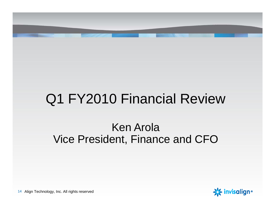

# Q1 FY2010 Financial Review

# Ken ArolaVice President, Finance and CFO

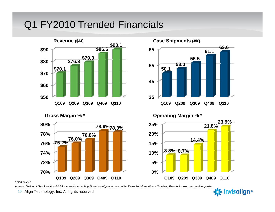#### Q1 FY2010 Trended Financials





**80%**





*\* Non-GAAP*

*A reconciliation of GAAP to Non-GAAP can be found at http://investor.aligntech.com under Financial Information > Quarterly Results for each respective quarter.*

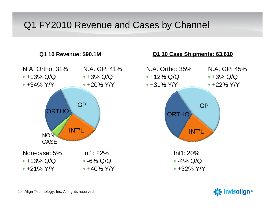#### Q1 FY2010 Revenue and Cases by Channel



## N.A. Ortho: 35%N.A. GP: 45%• +3% Q/Q • +22% Y/YGPORTHO INT'LInt'l: 20%• -4% Q/Q • +32% Y/Y

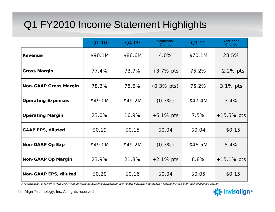## Q1 FY2010 Income Statement Highlights

|                              | Q1 10   | Q4 09   | Sequential<br>Change | Q1 09   | Year/Year<br>Change |
|------------------------------|---------|---------|----------------------|---------|---------------------|
| <b>Revenue</b>               | \$90.1M | \$86.6M | 4.0%                 | \$70.1M | 28.5%               |
| <b>Gross Margin</b>          | 77.4%   | 73.7%   | $+3.7\%$ pts         | 75.2%   | $+2.2\%$ pts        |
| <b>Non-GAAP Gross Margin</b> | 78.3%   | 78.6%   | $(0.3\% \, pts)$     | 75.2%   | 3.1% pts            |
| <b>Operating Expenses</b>    | \$49.0M | \$49.2M | $(0.3\%)$            | \$47.4M | 3.4%                |
| <b>Operating Margin</b>      | 23.0%   | 16.9%   | $+6.1\%$ pts         | 7.5%    | $+15.5\%$ pts       |
| <b>GAAP EPS, diluted</b>     | \$0.19  | \$0.15  | \$0.04               | \$0.04  | $+ $0.15$           |
| <b>Non-GAAP Op Exp</b>       | \$49.0M | \$49.2M | $(0.3\%)$            | \$46.5M | 5.4%                |
| <b>Non-GAAP Op Margin</b>    | 23.9%   | 21.8%   | $+2.1\%$ pts         | 8.8%    | $+15.1\%$ pts       |
| <b>Non-GAAP EPS, diluted</b> | \$0.20  | \$0.16  | \$0.04               | \$0.05  | $+ $0.15$           |

*A reconciliation of GAAP to Non-GAAP can be found at http://investor.aligntech.com under Financial Information > Quarterly Results for each respective quarter.*

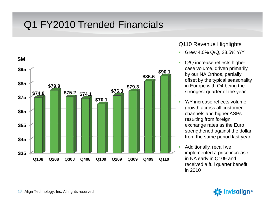#### Q1 FY2010 Trended Financials



#### Q110 Revenue Highlights

- •Grew 4.0% Q/Q, 28.5% Y/Y
- • Q/Q increase reflects higher **\$90.1** case volume, driven primarily<br>by our NA Orthos, partially offset by the typical seasonality in Europe with Q4 being the strongest quarter of the year
	- • Y/Y increase reflects volume growth across all customer channels and higher ASPs resulting from foreign exchange rates as the Euro strengthened against the dollar from the same period last year.
	- Additionally, recall we •implemented a price increase in NA early in Q109 and received a full quarter benefit in 2010

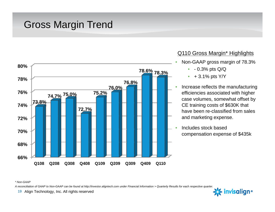#### Gross Margin Trend



#### Q110 Gross Margin\* Highlights

- • Non-GAAP gross margin of 78.3%
	- - 0.3% pts Q/Q
	- $\bullet$ + 3.1% pts Y/Y
- Increase reflects the manufacturing **Example 1 Example 1 Example 1 Example 1 C Example 1 C Example 1 C Example 1 C Example 1 C Example 1 C Example 1 C Example 1 C Example 1 C Example 1 C Example 1 C Example 1** case volumes, somewhat offset by CE training costs of \$630K that have been re-classified from sales
	- Includes stock based compensation expense of \$435k

#### *\* Non-GAAP*

*A reconciliation of GAAP to Non-GAAP can be found at http://investor.aligntech.com under Financial Information > Quarterly Results for each respective quarter.*

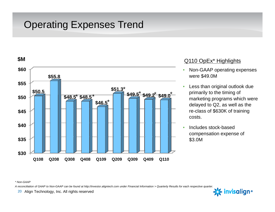# Operating Expenses Trend



- • Non-GAAP operating expenses were \$49.0M
- • Less than original outlook due primarily to the timing of **marketing programs which were** delayed to Q2, as well as the re-class of \$630K of training costs.
- Includes stock-based compensation expense of \$3.0M

*\* Non-GAAP*

*A reconciliation of GAAP to Non-GAAP can be found at http://investor.aligntech.com under Financial Information > Quarterly Results for each respective quarter.*

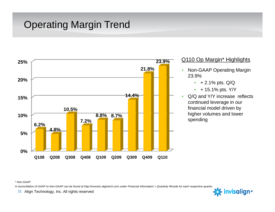## Operating Margin Trend



#### 23.9% Q110 Op Margin\* Highlights

- Non-GAAP Operating Margin 23.9%
	- •+ 2.1% pts. Q/Q
	- •+ 15.1% pts. Y/Y
- Q/Q and Y/Y increase reflects continued leverage in our financial model driven by higher volumes and lower spending

*\* Non-GAAP*

*A reconciliation of GAAP to Non-GAAP can be found at http://investor.aligntech.com under Financial Information > Quarterly Results for each respective quarter.*

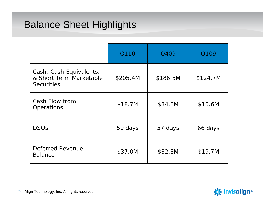#### Balance Sheet Highlights

|                                                                         | Q110     | Q409     | Q109     |
|-------------------------------------------------------------------------|----------|----------|----------|
| Cash, Cash Equivalents,<br>& Short Term Marketable<br><b>Securities</b> | \$205.4M | \$186.5M | \$124.7M |
| Cash Flow from<br>Operations                                            | \$18.7M  | \$34.3M  | \$10.6M  |
| <b>DSOs</b>                                                             | 59 days  | 57 days  | 66 days  |
| Deferred Revenue<br><b>Balance</b>                                      | \$37.0M  | \$32.3M  | \$19.7M  |

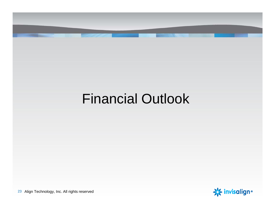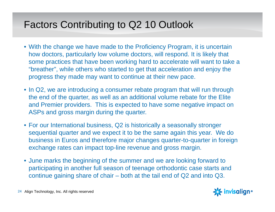## Factors Contributing to Q2 10 Outlook

- With the change we have made to the Proficiency Program, it is uncertain how doctors, particularly low volume doctors, will respond. It is likely that some practices that have been working hard to accelerate will want to take a "breather", while others who started to get that acceleration and enjoy the progress they made may want to continue at their new pace.
- In Q2, we are introducing a consumer rebate program that will run through the end of the quarter, as well as an additional volume rebate for the Elite and Premier providers. This is expected to have some negative impact on ASPs and gross margin during the quarter.
- For our International business, Q2 is historically a seasonally stronger sequential quarter and we expect it to be the same again this year. We do business in Euros and therefore major changes quarter-to-quarter in foreign exchange rates can impact top-line revenue and gross margin.
- June marks the beginning of the summer and we are looking forward to participating in another full season of teenage orthodontic case starts and continue gaining share of chair – both at the tail end of Q2 and into Q3.

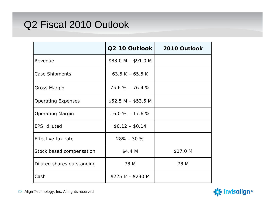#### Q2 Fiscal 2010 Outlook

|                            | Q2 10 Outlook       | 2010 Outlook |
|----------------------------|---------------------|--------------|
| Revenue                    | $$88.0 M - $91.0 M$ |              |
| Case Shipments             | 63.5 K $-$ 65.5 K   |              |
| Gross Margin               | $75.6\% - 76.4\%$   |              |
| <b>Operating Expenses</b>  | $$52.5 M - $53.5 M$ |              |
| <b>Operating Margin</b>    | $16.0\% - 17.6\%$   |              |
| EPS, diluted               | $$0.12 - $0.14$     |              |
| Effective tax rate         | 28% - 30 %          |              |
| Stock based compensation   | \$4.4 M             | \$17.0 M     |
| Diluted shares outstanding | 78 M                | 78 M         |
| Cash                       | \$225 M - \$230 M   |              |

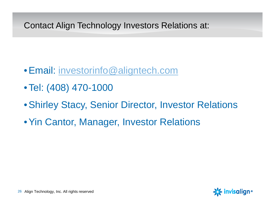#### Contact Align Technology Investors Relations at:

- •Email: investorinfo@aligntech.com
- Tel: (408) 470-1000
- •Shirley Stacy, Senior Director, Investor Relations
- Yin Cantor, Manager, Investor Relations

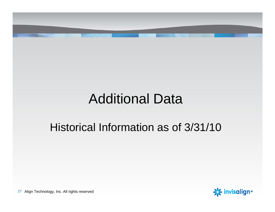# Additional Data Historical Information as of 3/31/10 **※invisalign**• 27 Align Technology, Inc. All rights reserved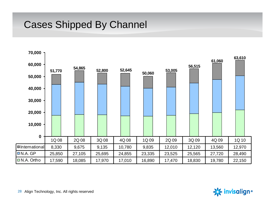#### Cases Shipped By Channel

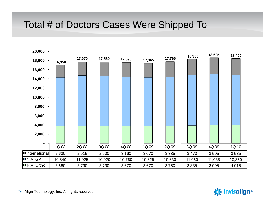#### Total # of Doctors Cases Were Shipped To

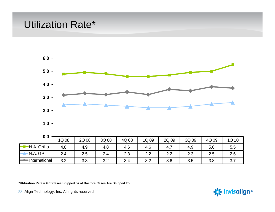#### Utilization Rate\*



**\*Utilization Rate = # of Cases Shipped / # of Doctors Cases Are Shipped To**